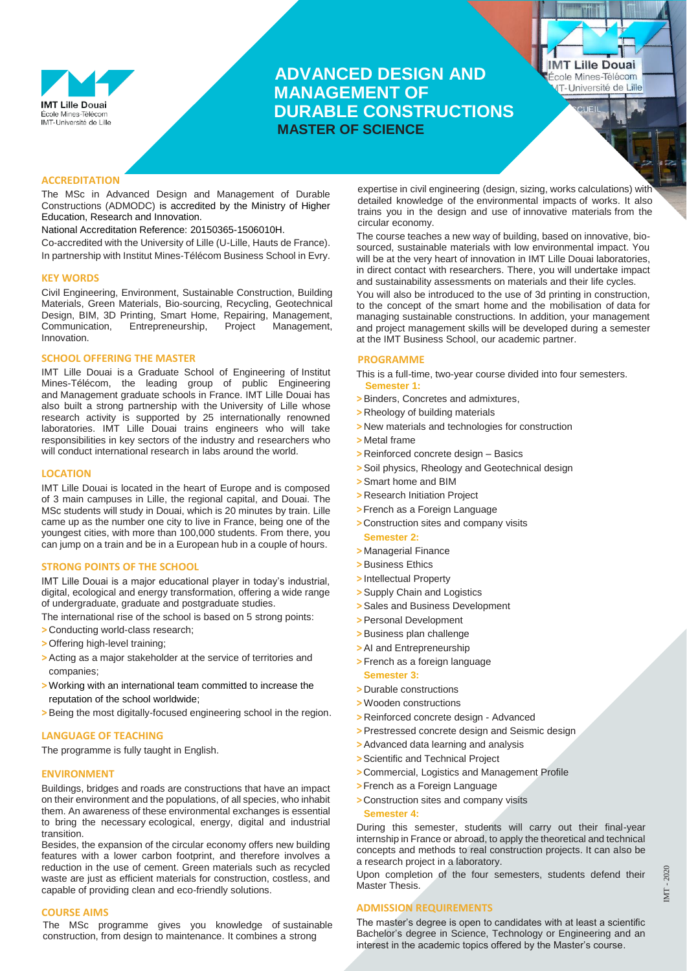

# **ADVANCED DESIGN AND MANAGEMENT OF DURABLE CONSTRUCTIONS MASTER OF SCIENCE**

**IMT Lille Douai** École Mines-Télécom **IT-Université de Lille** 

# **ACCREDITATION**

The MSc in Advanced Design and Management of Durable Constructions (ADMODC) is accredited by the Ministry of Higher Education, Research and Innovation.

National Accreditation Reference: 20150365-1506010H.

Co-accredited with the University of Lille (U-Lille, Hauts de France). In partnership with Institut Mines-Télécom Business School in Evry.

## **KEY WORDS**

Civil Engineering, Environment, Sustainable Construction, Building Materials, Green Materials, Bio-sourcing, Recycling, Geotechnical Design, BIM, 3D Printing, Smart Home, Repairing, Management, Communication, Entrepreneurship, Project Management, Innovation.

## **SCHOOL OFFERING THE MASTER**

IMT Lille Douai is a Graduate School of Engineering of [Institut](https://www.imt.fr/en/)  [Mines-Télécom,](https://www.imt.fr/en/) the leading group of public Engineering and Management graduate schools in France. IMT Lille Douai has also built a strong partnership with the [University of Lille](https://www.univ-lille.fr/home/) whose research activity is supported by 25 internationally renowned laboratories. IMT Lille Douai trains engineers who will take responsibilities in key sectors of the industry and researchers who will conduct international research in labs around the world.

### **LOCATION**

IMT Lille Douai is located in the heart of Europe and is composed of 3 main campuses in Lille, the regional capital, and Douai. The MSc students will study in Douai, which is 20 minutes by train. Lille came up as the number one city to live in France, being one of the youngest cities, with more than 100,000 students. From there, you can jump on a train and be in a European hub in a couple of hours.

#### **STRONG POINTS OF THE SCHOOL**

IMT Lille Douai is a major educational player in today's industrial, digital, ecological and energy transformation, offering a wide range of undergraduate, graduate and postgraduate studies.

The international rise of the school is based on 5 strong points:

- **>** Conducting world-class research;
- **>** Offering high-level training;
- **>**Acting as a major stakeholder at the service of territories and companies;
- **>** Working with an international team committed to increase the reputation of the school worldwide;
- **>**Being the most digitally-focused engineering school in the region.

## **LANGUAGE OF TEACHING**

The programme is fully taught in English.

#### **ENVIRONMENT**

Buildings, bridges and roads are constructions that have an impact on their environment and the populations, of all species, who inhabit them. An awareness of these environmental exchanges is essential to bring the necessary ecological, energy, digital and industrial transition.

Besides, the expansion of the circular economy offers new building features with a lower carbon footprint, and therefore involves a reduction in the use of cement. Green materials such as recycled waste are just as efficient materials for construction, costless, and capable of providing clean and eco-friendly solutions.

#### **COURSE AIMS**

The MSc programme gives you knowledge of sustainable construction, from design to maintenance. It combines a strong

expertise in civil engineering (design, sizing, works calculations) with detailed knowledge of the environmental impacts of works. It also trains you in the design and use of innovative materials from the circular economy.

The course teaches a new way of building, based on innovative, biosourced, sustainable materials with low environmental impact. You will be at the very heart of innovation in IMT Lille Douai laboratories, in direct contact with researchers. There, you will undertake impact and sustainability assessments on materials and their life cycles.

You will also be introduced to the use of 3d printing in construction, to the concept of the smart home and the mobilisation of data for managing sustainable constructions. In addition, your management and project management skills will be developed during a semester at the IMT [Business School,](https://www.imt-bs.eu/) our academic partner.

# **PROGRAMME**

This is a full-time, two-year course divided into four semesters. **Semester 1:**

- **>**Binders, Concretes and admixtures,
- **>** Rheology of building materials
- **>** New materials and technologies for construction
- **>** Metal frame
- **>** Reinforced concrete design Basics
- **>**Soil physics, Rheology and Geotechnical design
- **>**Smart home and BIM
- **>** Research Initiation Project
- **>**French as a Foreign Language
- **>**Construction sites and company visits
- **Semester 2:**
- **>** Managerial Finance
- **>**Business Ethics
- **>** Intellectual Property
- **>**Supply Chain and Logistics
- **>**Sales and Business Development
- **>**Personal Development
- **>**Business plan challenge
- **>**AI and Entrepreneurship
- **>** French as a foreign language **Semester 3:**
- **>** Durable constructions
- **>** Wooden constructions
- **>** Reinforced concrete design Advanced
- **>**Prestressed concrete design and Seismic design
- **>**Advanced data learning and analysis
- **>**Scientific and Technical Project
- **>**Commercial, Logistics and Management Profile
- **>**French as a Foreign Language
- **>**Construction sites and company visits

#### **Semester 4:**

During this semester, students will carry out their final-year internship in France or abroad, to apply the theoretical and technical concepts and methods to real construction projects. It can also be a research project in a laboratory.

Upon completion of the four semesters, students defend their Master Thesis.

#### **ADMISSION REQUIREMENTS**

The master's degree is open to candidates with at least a scientific Bachelor's degree in Science, Technology or Engineering and an interest in the academic topics offered by the Master's course.